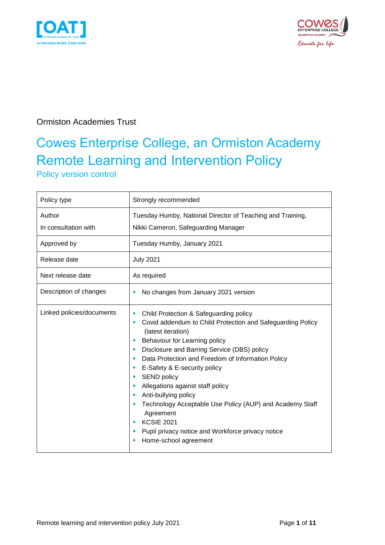



### Ormiston Academies Trust

# Cowes Enterprise College, an Ormiston Academy Remote Learning and Intervention Policy

Policy version control

| Policy type                    | Strongly recommended                                                                                                                                                                                                                                                                                                                                                                                                                                                                                                                                                    |
|--------------------------------|-------------------------------------------------------------------------------------------------------------------------------------------------------------------------------------------------------------------------------------------------------------------------------------------------------------------------------------------------------------------------------------------------------------------------------------------------------------------------------------------------------------------------------------------------------------------------|
| Author<br>In consultation with | Tuesday Humby, National Director of Teaching and Training,<br>Nikki Cameron, Safeguarding Manager                                                                                                                                                                                                                                                                                                                                                                                                                                                                       |
| Approved by                    | Tuesday Humby, January 2021                                                                                                                                                                                                                                                                                                                                                                                                                                                                                                                                             |
| Release date                   | <b>July 2021</b>                                                                                                                                                                                                                                                                                                                                                                                                                                                                                                                                                        |
| Next release date              | As required                                                                                                                                                                                                                                                                                                                                                                                                                                                                                                                                                             |
| Description of changes         | No changes from January 2021 version<br><b>I</b>                                                                                                                                                                                                                                                                                                                                                                                                                                                                                                                        |
| Linked policies/documents      | Child Protection & Safeguarding policy<br>ш<br>Covid addendum to Child Protection and Safeguarding Policy<br>ш<br>(latest iteration)<br>Behaviour for Learning policy<br>Disclosure and Barring Service (DBS) policy<br>Data Protection and Freedom of Information Policy<br>E-Safety & E-security policy<br><b>SEND policy</b><br>Allegations against staff policy<br>Anti-bullying policy<br>Technology Acceptable Use Policy (AUP) and Academy Staff<br>Agreement<br><b>KCSIE 2021</b><br>Pupil privacy notice and Workforce privacy notice<br>Home-school agreement |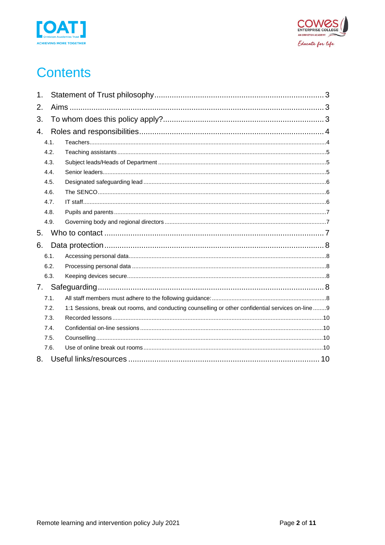



### **Contents**

| 1.   |                                                                                                     |
|------|-----------------------------------------------------------------------------------------------------|
| 2.   |                                                                                                     |
| 3.   |                                                                                                     |
| 4.   |                                                                                                     |
| 4.1. |                                                                                                     |
| 4.2. |                                                                                                     |
| 4.3. |                                                                                                     |
| 4.4. |                                                                                                     |
| 4.5. |                                                                                                     |
| 4.6. |                                                                                                     |
| 4.7. |                                                                                                     |
| 4.8. |                                                                                                     |
| 4.9. |                                                                                                     |
| 5.   |                                                                                                     |
| 6.   |                                                                                                     |
| 6.1. |                                                                                                     |
| 6.2. |                                                                                                     |
| 6.3. |                                                                                                     |
| 7.   |                                                                                                     |
| 7.1. |                                                                                                     |
| 7.2. | 1:1 Sessions, break out rooms, and conducting counselling or other confidential services on-line  9 |
| 7.3. |                                                                                                     |
| 7.4. |                                                                                                     |
| 7.5. |                                                                                                     |
| 7.6. |                                                                                                     |
| 8.   |                                                                                                     |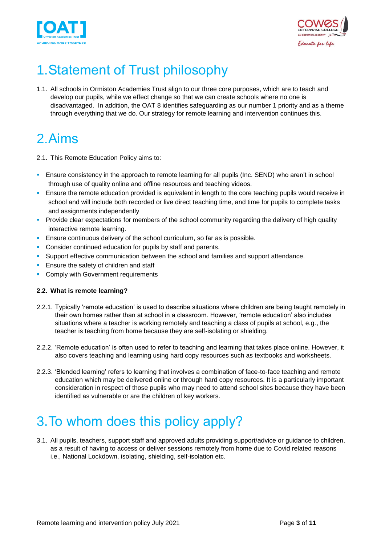



# <span id="page-2-0"></span>1.Statement of Trust philosophy

1.1. All schools in Ormiston Academies Trust align to our three core purposes, which are to teach and develop our pupils, while we effect change so that we can create schools where no one is disadvantaged. In addition, the OAT 8 identifies safeguarding as our number 1 priority and as a theme through everything that we do. Our strategy for remote learning and intervention continues this.

## <span id="page-2-1"></span>2.Aims

- 2.1. This Remote Education Policy aims to:
- **E** Ensure consistency in the approach to remote learning for all pupils (Inc. SEND) who aren't in school through use of quality online and offline resources and teaching videos.
- **E** Ensure the remote education provided is equivalent in length to the core teaching pupils would receive in school and will include both recorded or live direct teaching time, and time for pupils to complete tasks and assignments independently
- **•** Provide clear expectations for members of the school community regarding the delivery of high quality interactive remote learning.
- **Ensure continuous delivery of the school curriculum, so far as is possible.**
- Consider continued education for pupils by staff and parents.
- **•** Support effective communication between the school and families and support attendance.
- **Ensure the safety of children and staff**
- Comply with Government requirements

#### **2.2. What is remote learning?**

- 2.2.1. Typically 'remote education' is used to describe situations where children are being taught remotely in their own homes rather than at school in a classroom. However, 'remote education' also includes situations where a teacher is working remotely and teaching a class of pupils at school, e.g., the teacher is teaching from home because they are self-isolating or shielding.
- 2.2.2. 'Remote education' is often used to refer to teaching and learning that takes place online. However, it also covers teaching and learning using hard copy resources such as textbooks and worksheets.
- 2.2.3. 'Blended learning' refers to learning that involves a combination of face-to-face teaching and remote education which may be delivered online or through hard copy resources. It is a particularly important consideration in respect of those pupils who may need to attend school sites because they have been identified as vulnerable or are the children of key workers.

# <span id="page-2-2"></span>3.To whom does this policy apply?

3.1. All pupils, teachers, support staff and approved adults providing support/advice or guidance to children, as a result of having to access or deliver sessions remotely from home due to Covid related reasons i.e., National Lockdown, isolating, shielding, self-isolation etc.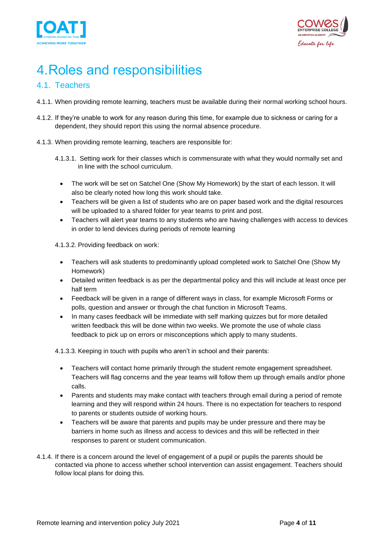



# <span id="page-3-0"></span>4.Roles and responsibilities

### <span id="page-3-1"></span>4.1. Teachers

- 4.1.1. When providing remote learning, teachers must be available during their normal working school hours.
- 4.1.2. If they're unable to work for any reason during this time, for example due to sickness or caring for a dependent, they should report this using the normal absence procedure.
- 4.1.3. When providing remote learning, teachers are responsible for:
	- 4.1.3.1. Setting work for their classes which is commensurate with what they would normally set and in line with the school curriculum.
		- The work will be set on Satchel One (Show My Homework) by the start of each lesson. It will also be clearly noted how long this work should take.
		- Teachers will be given a list of students who are on paper based work and the digital resources will be uploaded to a shared folder for year teams to print and post.
		- Teachers will alert year teams to any students who are having challenges with access to devices in order to lend devices during periods of remote learning

4.1.3.2. Providing feedback on work:

- Teachers will ask students to predominantly upload completed work to Satchel One (Show My Homework)
- Detailed written feedback is as per the departmental policy and this will include at least once per half term
- Feedback will be given in a range of different ways in class, for example Microsoft Forms or polls, question and answer or through the chat function in Microsoft Teams.
- In many cases feedback will be immediate with self marking quizzes but for more detailed written feedback this will be done within two weeks. We promote the use of whole class feedback to pick up on errors or misconceptions which apply to many students.

4.1.3.3. Keeping in touch with pupils who aren't in school and their parents:

- Teachers will contact home primarily through the student remote engagement spreadsheet. Teachers will flag concerns and the year teams will follow them up through emails and/or phone calls.
- Parents and students may make contact with teachers through email during a period of remote learning and they will respond within 24 hours. There is no expectation for teachers to respond to parents or students outside of working hours.
- Teachers will be aware that parents and pupils may be under pressure and there may be barriers in home such as illness and access to devices and this will be reflected in their responses to parent or student communication.
- 4.1.4. If there is a concern around the level of engagement of a pupil or pupils the parents should be contacted via phone to access whether school intervention can assist engagement. Teachers should follow local plans for doing this.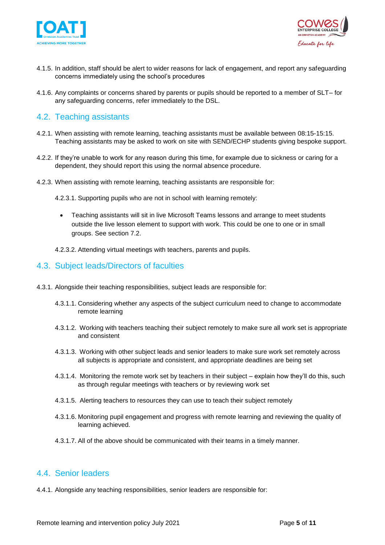



- 4.1.5. In addition, staff should be alert to wider reasons for lack of engagement, and report any safeguarding concerns immediately using the school's procedures
- 4.1.6. Any complaints or concerns shared by parents or pupils should be reported to a member of SLT– for any safeguarding concerns, refer immediately to the DSL.

#### <span id="page-4-0"></span>4.2. Teaching assistants

- 4.2.1. When assisting with remote learning, teaching assistants must be available between 08:15-15:15. Teaching assistants may be asked to work on site with SEND/ECHP students giving bespoke support.
- 4.2.2. If they're unable to work for any reason during this time, for example due to sickness or caring for a dependent, they should report this using the normal absence procedure.
- 4.2.3. When assisting with remote learning, teaching assistants are responsible for:
	- 4.2.3.1. Supporting pupils who are not in school with learning remotely:
		- Teaching assistants will sit in live Microsoft Teams lessons and arrange to meet students outside the live lesson element to support with work. This could be one to one or in small groups. See section 7.2.
	- 4.2.3.2. Attending virtual meetings with teachers, parents and pupils.

#### <span id="page-4-1"></span>4.3. Subject leads/Directors of faculties

- 4.3.1. Alongside their teaching responsibilities, subject leads are responsible for:
	- 4.3.1.1. Considering whether any aspects of the subject curriculum need to change to accommodate remote learning
	- 4.3.1.2. Working with teachers teaching their subject remotely to make sure all work set is appropriate and consistent
	- 4.3.1.3. Working with other subject leads and senior leaders to make sure work set remotely across all subjects is appropriate and consistent, and appropriate deadlines are being set
	- 4.3.1.4. Monitoring the remote work set by teachers in their subject explain how they'll do this, such as through regular meetings with teachers or by reviewing work set
	- 4.3.1.5. Alerting teachers to resources they can use to teach their subject remotely
	- 4.3.1.6. Monitoring pupil engagement and progress with remote learning and reviewing the quality of learning achieved.
	- 4.3.1.7. All of the above should be communicated with their teams in a timely manner.

#### <span id="page-4-2"></span>4.4. Senior leaders

4.4.1. Alongside any teaching responsibilities, senior leaders are responsible for: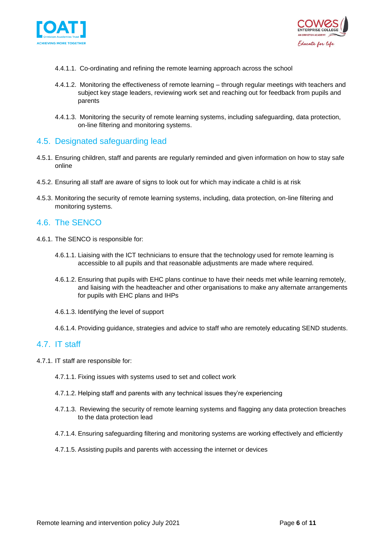



- 4.4.1.1. Co-ordinating and refining the remote learning approach across the school
- 4.4.1.2. Monitoring the effectiveness of remote learning through regular meetings with teachers and subject key stage leaders, reviewing work set and reaching out for feedback from pupils and parents
- 4.4.1.3. Monitoring the security of remote learning systems, including safeguarding, data protection, on-line filtering and monitoring systems.

#### <span id="page-5-0"></span>4.5. Designated safeguarding lead

- 4.5.1. Ensuring children, staff and parents are regularly reminded and given information on how to stay safe online
- 4.5.2. Ensuring all staff are aware of signs to look out for which may indicate a child is at risk
- 4.5.3. Monitoring the security of remote learning systems, including, data protection, on-line filtering and monitoring systems.

#### <span id="page-5-1"></span>4.6. The SENCO

- 4.6.1. The SENCO is responsible for:
	- 4.6.1.1. Liaising with the ICT technicians to ensure that the technology used for remote learning is accessible to all pupils and that reasonable adjustments are made where required.
	- 4.6.1.2. Ensuring that pupils with EHC plans continue to have their needs met while learning remotely, and liaising with the headteacher and other organisations to make any alternate arrangements for pupils with EHC plans and IHPs
	- 4.6.1.3. Identifying the level of support
	- 4.6.1.4. Providing guidance, strategies and advice to staff who are remotely educating SEND students.

#### <span id="page-5-2"></span>4.7. IT staff

- 4.7.1. IT staff are responsible for:
	- 4.7.1.1. Fixing issues with systems used to set and collect work
	- 4.7.1.2. Helping staff and parents with any technical issues they're experiencing
	- 4.7.1.3. Reviewing the security of remote learning systems and flagging any data protection breaches to the data protection lead
	- 4.7.1.4. Ensuring safeguarding filtering and monitoring systems are working effectively and efficiently
	- 4.7.1.5. Assisting pupils and parents with accessing the internet or devices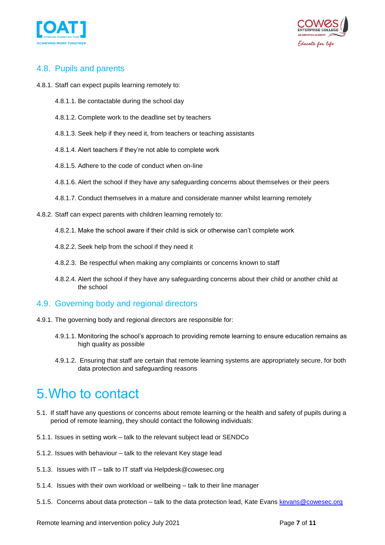



### <span id="page-6-0"></span>4.8. Pupils and parents

- 4.8.1. Staff can expect pupils learning remotely to:
	- 4.8.1.1. Be contactable during the school day
	- 4.8.1.2. Complete work to the deadline set by teachers
	- 4.8.1.3. Seek help if they need it, from teachers or teaching assistants
	- 4.8.1.4. Alert teachers if they're not able to complete work
	- 4.8.1.5. Adhere to the code of conduct when on-line
	- 4.8.1.6. Alert the school if they have any safeguarding concerns about themselves or their peers
	- 4.8.1.7. Conduct themselves in a mature and considerate manner whilst learning remotely
- 4.8.2. Staff can expect parents with children learning remotely to:
	- 4.8.2.1. Make the school aware if their child is sick or otherwise can't complete work
	- 4.8.2.2. Seek help from the school if they need it
	- 4.8.2.3. Be respectful when making any complaints or concerns known to staff
	- 4.8.2.4. Alert the school if they have any safeguarding concerns about their child or another child at the school

#### <span id="page-6-1"></span>4.9. Governing body and regional directors

- 4.9.1. The governing body and regional directors are responsible for:
	- 4.9.1.1. Monitoring the school's approach to providing remote learning to ensure education remains as high quality as possible
	- 4.9.1.2. Ensuring that staff are certain that remote learning systems are appropriately secure, for both data protection and safeguarding reasons

### <span id="page-6-2"></span>5.Who to contact

- 5.1. If staff have any questions or concerns about remote learning or the health and safety of pupils during a period of remote learning, they should contact the following individuals:
- 5.1.1. Issues in setting work talk to the relevant subject lead or SENDCo
- 5.1.2. Issues with behaviour talk to the relevant Key stage lead
- 5.1.3. Issues with IT talk to IT staff via Helpdesk@cowesec.org
- 5.1.4. Issues with their own workload or wellbeing talk to their line manager
- 5.1.5. Concerns about data protection talk to the data protection lead, Kate Evans kevans @cowesec.org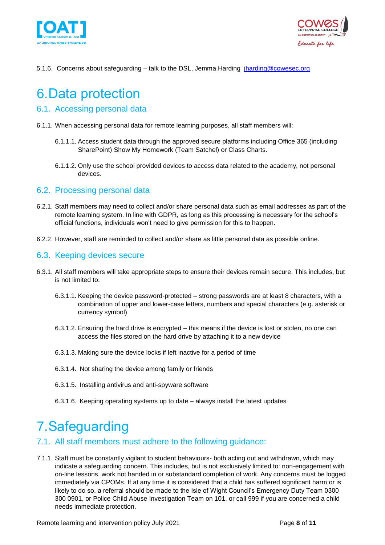



5.1.6. Concerns about safeguarding – talk to the DSL, Jemma Harding [jharding@cowesec.org](mailto:jharding@cowesec.org)

### <span id="page-7-0"></span>6.Data protection

#### <span id="page-7-1"></span>6.1. Accessing personal data

- 6.1.1. When accessing personal data for remote learning purposes, all staff members will:
	- 6.1.1.1. Access student data through the approved secure platforms including Office 365 (including SharePoint) Show My Homework (Team Satchel) or Class Charts.
	- 6.1.1.2. Only use the school provided devices to access data related to the academy, not personal devices.

#### <span id="page-7-2"></span>6.2. Processing personal data

- 6.2.1. Staff members may need to collect and/or share personal data such as email addresses as part of the remote learning system. In line with GDPR, as long as this processing is necessary for the school's official functions, individuals won't need to give permission for this to happen.
- 6.2.2. However, staff are reminded to collect and/or share as little personal data as possible online.

#### <span id="page-7-3"></span>6.3. Keeping devices secure

- 6.3.1. All staff members will take appropriate steps to ensure their devices remain secure. This includes, but is not limited to:
	- 6.3.1.1. Keeping the device password-protected strong passwords are at least 8 characters, with a combination of upper and lower-case letters, numbers and special characters (e.g. asterisk or currency symbol)
	- 6.3.1.2. Ensuring the hard drive is encrypted this means if the device is lost or stolen, no one can access the files stored on the hard drive by attaching it to a new device
	- 6.3.1.3. Making sure the device locks if left inactive for a period of time
	- 6.3.1.4. Not sharing the device among family or friends
	- 6.3.1.5. Installing antivirus and anti-spyware software
	- 6.3.1.6. Keeping operating systems up to date always install the latest updates

### <span id="page-7-4"></span>7.Safeguarding

#### <span id="page-7-5"></span>7.1. All staff members must adhere to the following guidance:

7.1.1. Staff must be constantly vigilant to student behaviours- both acting out and withdrawn, which may indicate a safeguarding concern. This includes, but is not exclusively limited to: non-engagement with on-line lessons, work not handed in or substandard completion of work. Any concerns must be logged immediately via CPOMs. If at any time it is considered that a child has suffered significant harm or is likely to do so, a referral should be made to the Isle of Wight Council's Emergency Duty Team 0300 300 0901, or Police Child Abuse Investigation Team on 101, or call 999 if you are concerned a child needs immediate protection.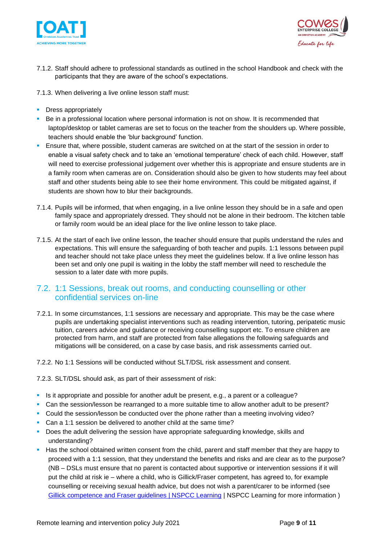



- 7.1.2. Staff should adhere to professional standards as outlined in the school Handbook and check with the participants that they are aware of the school's expectations.
- 7.1.3. When delivering a live online lesson staff must:
- **•** Dress appropriately
- Be in a professional location where personal information is not on show. It is recommended that laptop/desktop or tablet cameras are set to focus on the teacher from the shoulders up. Where possible, teachers should enable the 'blur background' function.
- **E** Ensure that, where possible, student cameras are switched on at the start of the session in order to enable a visual safety check and to take an 'emotional temperature' check of each child. However, staff will need to exercise professional judgement over whether this is appropriate and ensure students are in a family room when cameras are on. Consideration should also be given to how students may feel about staff and other students being able to see their home environment. This could be mitigated against, if students are shown how to blur their backgrounds.
- 7.1.4. Pupils will be informed, that when engaging, in a live online lesson they should be in a safe and open family space and appropriately dressed. They should not be alone in their bedroom. The kitchen table or family room would be an ideal place for the live online lesson to take place.
- 7.1.5. At the start of each live online lesson, the teacher should ensure that pupils understand the rules and expectations. This will ensure the safeguarding of both teacher and pupils. 1:1 lessons between pupil and teacher should not take place unless they meet the guidelines below. If a live online lesson has been set and only one pupil is waiting in the lobby the staff member will need to reschedule the session to a later date with more pupils.

#### <span id="page-8-0"></span>7.2. 1:1 Sessions, break out rooms, and conducting counselling or other confidential services on-line

- 7.2.1. In some circumstances, 1:1 sessions are necessary and appropriate. This may be the case where pupils are undertaking specialist interventions such as reading intervention, tutoring, peripatetic music tuition, careers advice and guidance or receiving counselling support etc. To ensure children are protected from harm, and staff are protected from false allegations the following safeguards and mitigations will be considered, on a case by case basis, and risk assessments carried out.
- 7.2.2. No 1:1 Sessions will be conducted without SLT/DSL risk assessment and consent.
- 7.2.3. SLT/DSL should ask, as part of their assessment of risk:
- Is it appropriate and possible for another adult be present, e.g., a parent or a colleague?
- Can the session/lesson be rearranged to a more suitable time to allow another adult to be present?
- Could the session/lesson be conducted over the phone rather than a meeting involving video?
- Can a 1:1 session be delivered to another child at the same time?
- **Does the adult delivering the session have appropriate safeguarding knowledge, skills and** understanding?
- Has the school obtained written consent from the child, parent and staff member that they are happy to proceed with a 1:1 session, that they understand the benefits and risks and are clear as to the purpose? (NB – DSLs must ensure that no parent is contacted about supportive or intervention sessions if it will put the child at risk ie – where a child, who is Gillick/Fraser competent, has agreed to, for example counselling or receiving sexual health advice, but does not wish a parent/carer to be informed (see Gillick competence and [Fraser guidelines | NSPCC Learning](https://learning.nspcc.org.uk/child-protection-system/gillick-competence-fraser-guidelines) | NSPCC Learning for more information )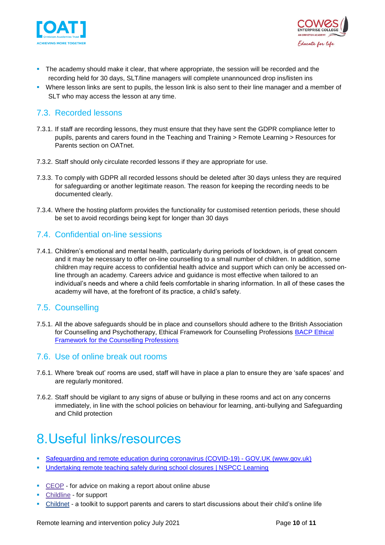



- **•** The academy should make it clear, that where appropriate, the session will be recorded and the recording held for 30 days, SLT/line managers will complete unannounced drop ins/listen ins
- Where lesson links are sent to pupils, the lesson link is also sent to their line manager and a member of SLT who may access the lesson at any time.

#### <span id="page-9-0"></span>7.3. Recorded lessons

- 7.3.1. If staff are recording lessons, they must ensure that they have sent the GDPR compliance letter to pupils, parents and carers found in the Teaching and Training > Remote Learning > Resources for Parents section on OATnet.
- 7.3.2. Staff should only circulate recorded lessons if they are appropriate for use.
- 7.3.3. To comply with GDPR all recorded lessons should be deleted after 30 days unless they are required for safeguarding or another legitimate reason. The reason for keeping the recording needs to be documented clearly.
- 7.3.4. Where the hosting platform provides the functionality for customised retention periods, these should be set to avoid recordings being kept for longer than 30 days

#### <span id="page-9-1"></span>7.4. Confidential on-line sessions

7.4.1. Children's emotional and mental health, particularly during periods of lockdown, is of great concern and it may be necessary to offer on-line counselling to a small number of children. In addition, some children may require access to confidential health advice and support which can only be accessed online through an academy. Careers advice and guidance is most effective when tailored to an individual's needs and where a child feels comfortable in sharing information. In all of these cases the academy will have, at the forefront of its practice, a child's safety.

### <span id="page-9-2"></span>7.5. Counselling

7.5.1. All the above safeguards should be in place and counsellors should adhere to the British Association for Counselling and Psychotherapy, Ethical Framework for Counselling Professions [BACP Ethical](https://www.bacp.co.uk/events-and-resources/ethics-and-standards/ethical-framework-for-the-counselling-professions/)  [Framework for the Counselling Professions](https://www.bacp.co.uk/events-and-resources/ethics-and-standards/ethical-framework-for-the-counselling-professions/)

#### <span id="page-9-3"></span>7.6. Use of online break out rooms

- 7.6.1. Where 'break out' rooms are used, staff will have in place a plan to ensure they are 'safe spaces' and are regularly monitored.
- 7.6.2. Staff should be vigilant to any signs of abuse or bullying in these rooms and act on any concerns immediately, in line with the school policies on behaviour for learning, anti-bullying and Safeguarding and Child protection

### <span id="page-9-4"></span>8.Useful links/resources

- **[Safeguarding and remote education during coronavirus \(COVID-19\) -](https://www.gov.uk/guidance/safeguarding-and-remote-education-during-coronavirus-covid-19) GOV.UK (www.gov.uk)**
- [Undertaking remote teaching safely during school closures | NSPCC Learning](https://learning.nspcc.org.uk/news/2020/march/undertaking-remote-teaching-safely)
- [CEOP](https://www.ceop.police.uk/safety-centre/) for advice on making a report about online abuse
- [Childline](https://www.childline.org.uk/?utm_source=google&utm_medium=cpc&utm_campaign=UK_GO_S_B_BND_Grant_Childline_Information&utm_term=role_of_childline&gclsrc=aw.ds&&gclid=EAIaIQobChMIlfLRh-ez6AIVRrDtCh1N9QR2EAAYASAAEgLc-vD_BwE&gclsrc=aw.ds) for support
- [Childnet](https://www.childnet.com/parents-and-carers/parent-and-carer-toolkit) a toolkit to support parents and carers to start discussions about their child's online life